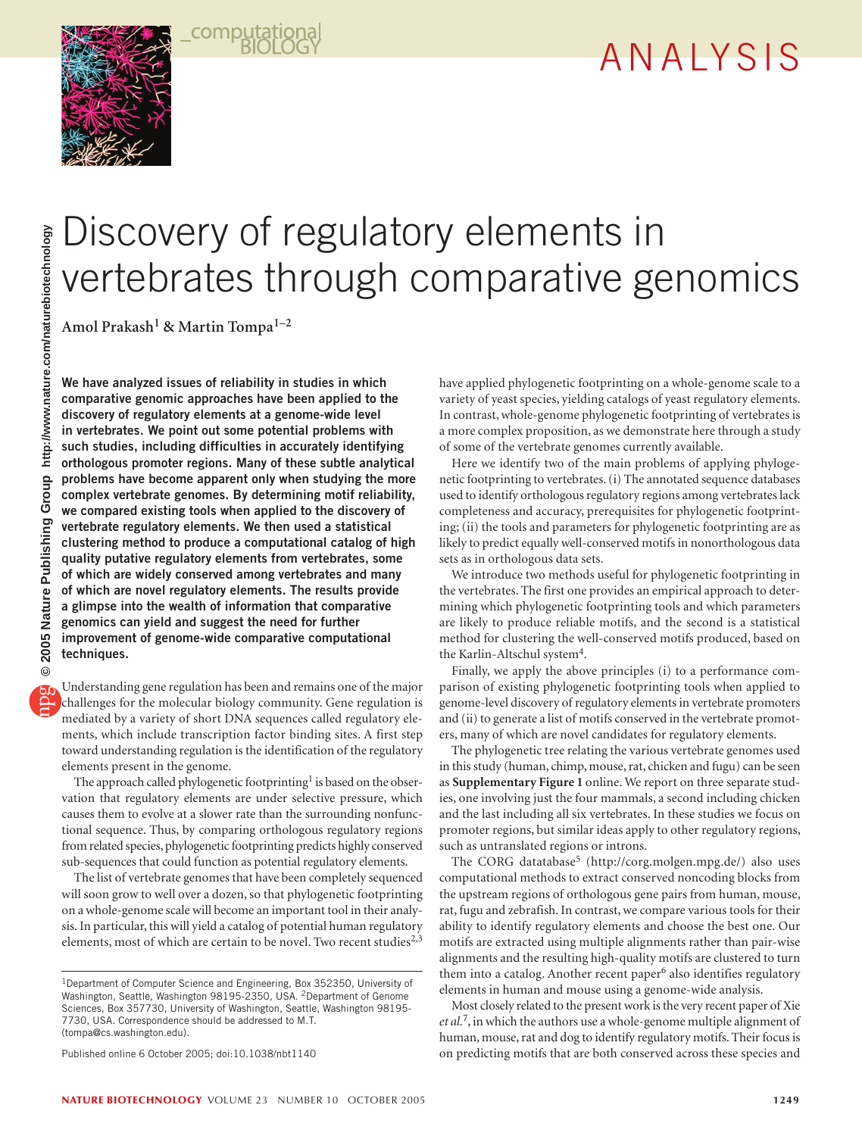

## ANALYSIS



# Discovery of regulatory elements in vertebrates through comparative genomics

**Amol Prakash1 & Martin Tompa1–2**

**We have analyzed issues of reliability in studies in which comparative genomic approaches have been applied to the discovery of regulatory elements at a genome-wide level in vertebrates. We point out some potential problems with such studies, including difficulties in accurately identifying orthologous promoter regions. Many of these subtle analytical problems have become apparent only when studying the more complex vertebrate genomes. By determining motif reliability, we compared existing tools when applied to the discovery of vertebrate regulatory elements. We then used a statistical clustering method to produce a computational catalog of high quality putative regulatory elements from vertebrates, some of which are widely conserved among vertebrates and many of which are novel regulatory elements. The results provide a glimpse into the wealth of information that comparative genomics can yield and suggest the need for further improvement of genome-wide comparative computational techniques.**

Understanding gene regulation has been and remains one of the major challenges for the molecular biology community. Gene regulation is mediated by a variety of short DNA sequences called regulatory elements, which include transcription factor binding sites. A first step toward understanding regulation is the identification of the regulatory elements present in the genome.

The approach called phylogenetic footprinting<sup>1</sup> is based on the observation that regulatory elements are under selective pressure, which causes them to evolve at a slower rate than the surrounding nonfunctional sequence. Thus, by comparing orthologous regulatory regions from related species, phylogenetic footprinting predicts highly conserved sub-sequences that could function as potential regulatory elements.

The list of vertebrate genomes that have been completely sequenced will soon grow to well over a dozen, so that phylogenetic footprinting on a whole-genome scale will become an important tool in their analysis. In particular, this will yield a catalog of potential human regulatory elements, most of which are certain to be novel. Two recent studies $2,3$ 

have applied phylogenetic footprinting on a whole-genome scale to a variety of yeast species, yielding catalogs of yeast regulatory elements. In contrast, whole-genome phylogenetic footprinting of vertebrates is a more complex proposition, as we demonstrate here through a study of some of the vertebrate genomes currently available.

Here we identify two of the main problems of applying phylogenetic footprinting to vertebrates. (i) The annotated sequence databases used to identify orthologous regulatory regions among vertebrates lack completeness and accuracy, prerequisites for phylogenetic footprinting; (ii) the tools and parameters for phylogenetic footprinting are as likely to predict equally well-conserved motifs in nonorthologous data sets as in orthologous data sets.

We introduce two methods useful for phylogenetic footprinting in the vertebrates. The first one provides an empirical approach to determining which phylogenetic footprinting tools and which parameters are likely to produce reliable motifs, and the second is a statistical method for clustering the well-conserved motifs produced, based on the Karlin-Altschul system4.

Finally, we apply the above principles (i) to a performance comparison of existing phylogenetic footprinting tools when applied to genome-level discovery of regulatory elements in vertebrate promoters and (ii) to generate a list of motifs conserved in the vertebrate promoters, many of which are novel candidates for regulatory elements.

The phylogenetic tree relating the various vertebrate genomes used in this study (human, chimp, mouse, rat, chicken and fugu) can be seen as **Supplementary Figure 1** online. We report on three separate studies, one involving just the four mammals, a second including chicken and the last including all six vertebrates. In these studies we focus on promoter regions, but similar ideas apply to other regulatory regions, such as untranslated regions or introns.

The CORG datatabase<sup>5</sup> (http://corg.molgen.mpg.de/) also uses computational methods to extract conserved noncoding blocks from the upstream regions of orthologous gene pairs from human, mouse, rat, fugu and zebrafish. In contrast, we compare various tools for their ability to identify regulatory elements and choose the best one. Our motifs are extracted using multiple alignments rather than pair-wise alignments and the resulting high-quality motifs are clustered to turn them into a catalog. Another recent paper<sup>6</sup> also identifies regulatory elements in human and mouse using a genome-wide analysis.

Most closely related to the present work is the very recent paper of Xie *et al.*7, in which the authors use a whole-genome multiple alignment of human, mouse, rat and dog to identify regulatory motifs. Their focus is on predicting motifs that are both conserved across these species and

<sup>&</sup>lt;sup>1</sup>Department of Computer Science and Engineering, Box 352350, University of Washington, Seattle, Washington 98195-2350, USA. 2Department of Genome Sciences, Box 357730, University of Washington, Seattle, Washington 98195- 7730, USA. Correspondence should be addressed to M.T. (tompa@cs.washington.edu).

Published online 6 October 2005; doi:10.1038/nbt1140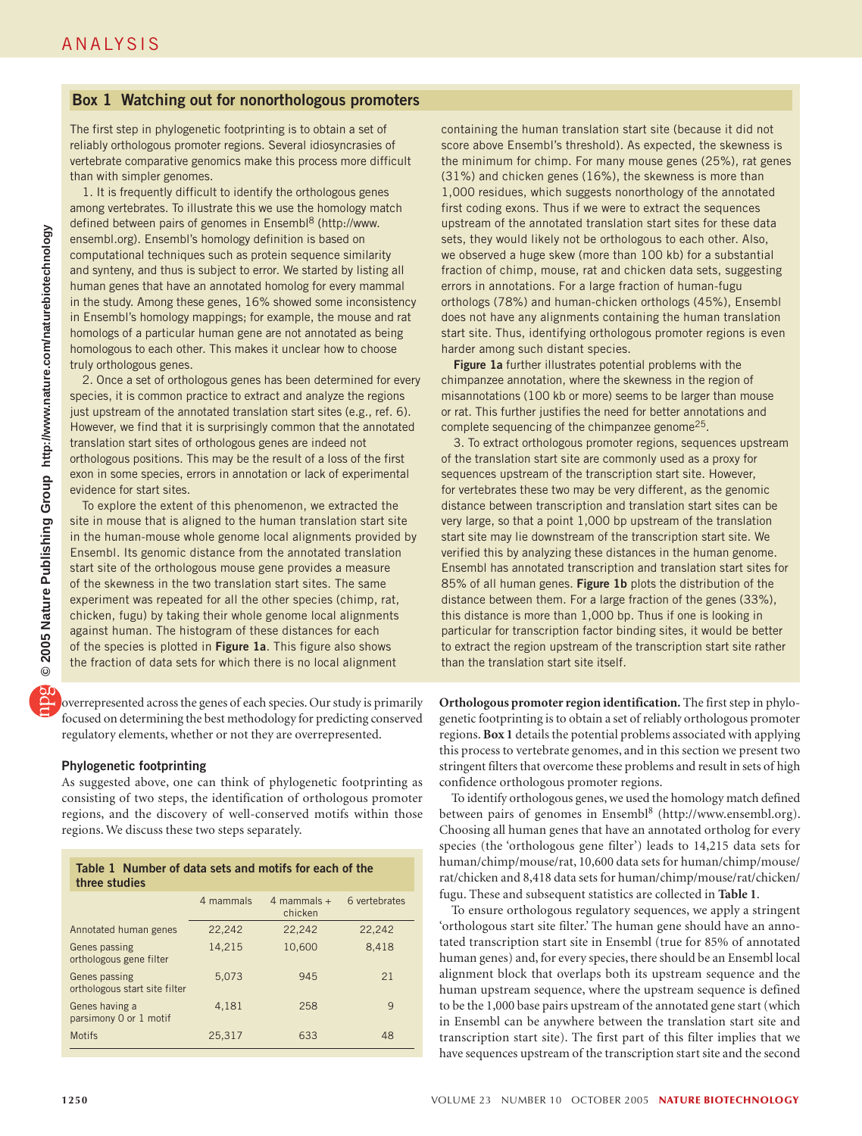### **Box 1 Watching out for nonorthologous promoters**

The first step in phylogenetic footprinting is to obtain a set of reliably orthologous promoter regions. Several idiosyncrasies of vertebrate comparative genomics make this process more difficult than with simpler genomes.

1. It is frequently difficult to identify the orthologous genes among vertebrates. To illustrate this we use the homology match defined between pairs of genomes in Ensembl<sup>8</sup> (http://www. ensembl.org). Ensembl's homology definition is based on computational techniques such as protein sequence similarity and synteny, and thus is subject to error. We started by listing all human genes that have an annotated homolog for every mammal in the study. Among these genes, 16% showed some inconsistency in Ensembl's homology mappings; for example, the mouse and rat homologs of a particular human gene are not annotated as being homologous to each other. This makes it unclear how to choose truly orthologous genes.

2. Once a set of orthologous genes has been determined for every species, it is common practice to extract and analyze the regions just upstream of the annotated translation start sites (e.g., ref. 6). However, we find that it is surprisingly common that the annotated translation start sites of orthologous genes are indeed not orthologous positions. This may be the result of a loss of the first exon in some species, errors in annotation or lack of experimental evidence for start sites.

To explore the extent of this phenomenon, we extracted the site in mouse that is aligned to the human translation start site in the human-mouse whole genome local alignments provided by Ensembl. Its genomic distance from the annotated translation start site of the orthologous mouse gene provides a measure of the skewness in the two translation start sites. The same experiment was repeated for all the other species (chimp, rat, chicken, fugu) by taking their whole genome local alignments against human. The histogram of these distances for each of the species is plotted in **Figure 1a**. This figure also shows the fraction of data sets for which there is no local alignment

overrepresented across the genes of each species. Our study is primarily focused on determining the best methodology for predicting conserved regulatory elements, whether or not they are overrepresented.

#### **Phylogenetic footprinting**

As suggested above, one can think of phylogenetic footprinting as consisting of two steps, the identification of orthologous promoter regions, and the discovery of well-conserved motifs within those regions. We discuss these two steps separately.

| Table 1 Number of data sets and motifs for each of the<br>three studies |           |                            |               |  |
|-------------------------------------------------------------------------|-----------|----------------------------|---------------|--|
|                                                                         | 4 mammals | $4$ mammals $+$<br>chicken | 6 vertebrates |  |
| Annotated human genes                                                   | 22,242    | 22,242                     | 22,242        |  |
| Genes passing<br>orthologous gene filter                                | 14,215    | 10,600                     | 8,418         |  |
| Genes passing<br>orthologous start site filter                          | 5.073     | 945                        | 21            |  |
| Genes having a<br>parsimony 0 or 1 motif                                | 4.181     | 258                        | $\mathsf{Q}$  |  |
| <b>Motifs</b>                                                           | 25,317    | 633                        | 48            |  |

containing the human translation start site (because it did not score above Ensembl's threshold). As expected, the skewness is the minimum for chimp. For many mouse genes (25%), rat genes (31%) and chicken genes (16%), the skewness is more than 1,000 residues, which suggests nonorthology of the annotated first coding exons. Thus if we were to extract the sequences upstream of the annotated translation start sites for these data sets, they would likely not be orthologous to each other. Also, we observed a huge skew (more than 100 kb) for a substantial fraction of chimp, mouse, rat and chicken data sets, suggesting errors in annotations. For a large fraction of human-fugu orthologs (78%) and human-chicken orthologs (45%), Ensembl does not have any alignments containing the human translation start site. Thus, identifying orthologous promoter regions is even harder among such distant species.

**Figure 1a** further illustrates potential problems with the chimpanzee annotation, where the skewness in the region of misannotations (100 kb or more) seems to be larger than mouse or rat. This further justifies the need for better annotations and complete sequencing of the chimpanzee genome25.

3. To extract orthologous promoter regions, sequences upstream of the translation start site are commonly used as a proxy for sequences upstream of the transcription start site. However, for vertebrates these two may be very different, as the genomic distance between transcription and translation start sites can be very large, so that a point 1,000 bp upstream of the translation start site may lie downstream of the transcription start site. We verified this by analyzing these distances in the human genome. Ensembl has annotated transcription and translation start sites for 85% of all human genes. **Figure 1b** plots the distribution of the distance between them. For a large fraction of the genes (33%), this distance is more than 1,000 bp. Thus if one is looking in particular for transcription factor binding sites, it would be better to extract the region upstream of the transcription start site rather than the translation start site itself.

**Orthologous promoter region identification.** The first step in phylogenetic footprinting is to obtain a set of reliably orthologous promoter regions. **Box 1** details the potential problems associated with applying this process to vertebrate genomes, and in this section we present two stringent filters that overcome these problems and result in sets of high confidence orthologous promoter regions.

To identify orthologous genes, we used the homology match defined between pairs of genomes in Ensembl<sup>8</sup> (http://www.ensembl.org). Choosing all human genes that have an annotated ortholog for every species (the 'orthologous gene filter') leads to 14,215 data sets for human/chimp/mouse/rat, 10,600 data sets for human/chimp/mouse/ rat/chicken and 8,418 data sets for human/chimp/mouse/rat/chicken/ fugu. These and subsequent statistics are collected in **Table 1**.

To ensure orthologous regulatory sequences, we apply a stringent 'orthologous start site filter.' The human gene should have an annotated transcription start site in Ensembl (true for 85% of annotated human genes) and, for every species, there should be an Ensembl local alignment block that overlaps both its upstream sequence and the human upstream sequence, where the upstream sequence is defined to be the 1,000 base pairs upstream of the annotated gene start (which in Ensembl can be anywhere between the translation start site and transcription start site). The first part of this filter implies that we have sequences upstream of the transcription start site and the second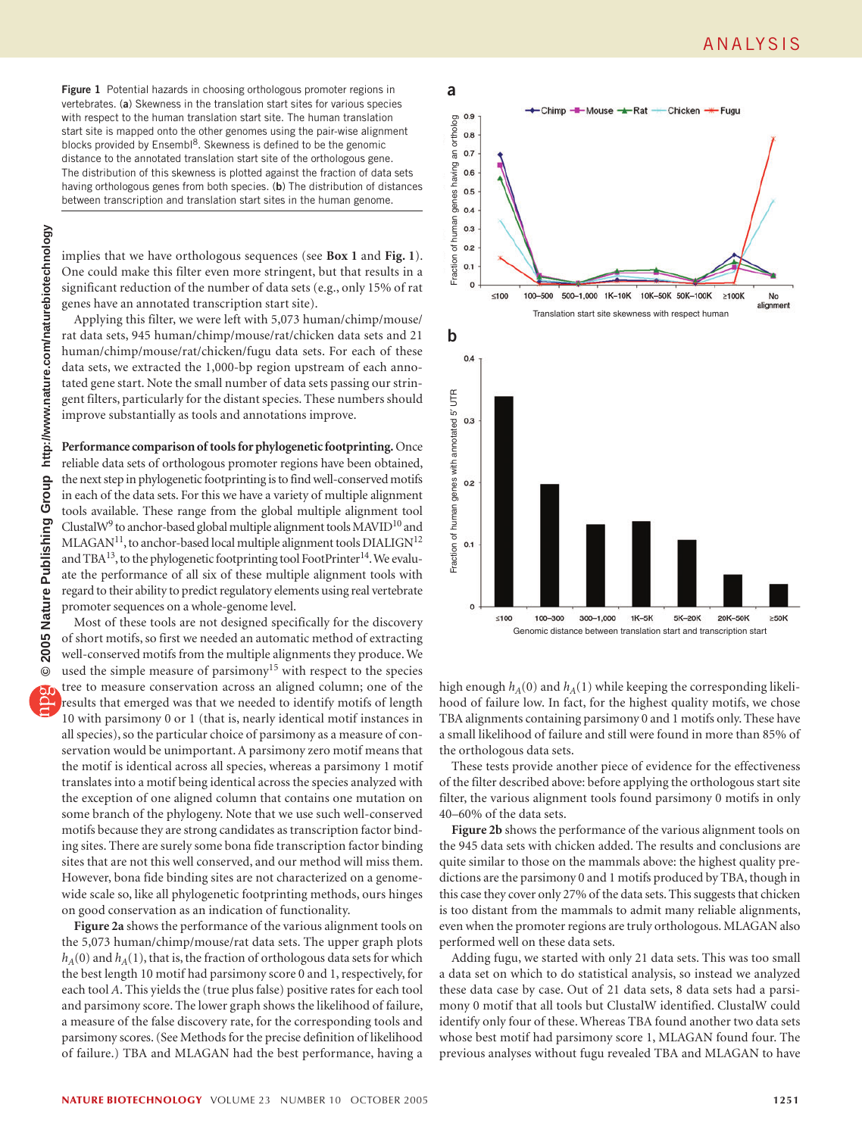**Figure 1** Potential hazards in choosing orthologous promoter regions in vertebrates. (**a**) Skewness in the translation start sites for various species with respect to the human translation start site. The human translation start site is mapped onto the other genomes using the pair-wise alignment blocks provided by Ensembl<sup>8</sup>. Skewness is defined to be the genomic distance to the annotated translation start site of the orthologous gene. The distribution of this skewness is plotted against the fraction of data sets having orthologous genes from both species. (**b**) The distribution of distances between transcription and translation start sites in the human genome.

implies that we have orthologous sequences (see **Box 1** and **Fig. 1**). One could make this filter even more stringent, but that results in a significant reduction of the number of data sets (e.g., only 15% of rat genes have an annotated transcription start site).

Applying this filter, we were left with 5,073 human/chimp/mouse/ rat data sets, 945 human/chimp/mouse/rat/chicken data sets and 21 human/chimp/mouse/rat/chicken/fugu data sets. For each of these data sets, we extracted the 1,000-bp region upstream of each annotated gene start. Note the small number of data sets passing our stringent filters, particularly for the distant species. These numbers should improve substantially as tools and annotations improve.

**Performance comparison of tools for phylogenetic footprinting.** Once reliable data sets of orthologous promoter regions have been obtained, the next step in phylogenetic footprinting is to find well-conserved motifs in each of the data sets. For this we have a variety of multiple alignment tools available. These range from the global multiple alignment tool ClustalW<sup>9</sup> to anchor-based global multiple alignment tools MAVID<sup>10</sup> and MLAGAN<sup>11</sup>, to anchor-based local multiple alignment tools DIALIGN<sup>12</sup> and TBA<sup>13</sup>, to the phylogenetic footprinting tool FootPrinter<sup>14</sup>. We evaluate the performance of all six of these multiple alignment tools with regard to their ability to predict regulatory elements using real vertebrate promoter sequences on a whole-genome level.

Most of these tools are not designed specifically for the discovery of short motifs, so first we needed an automatic method of extracting well-conserved motifs from the multiple alignments they produce. We used the simple measure of parsimony<sup>15</sup> with respect to the species tree to measure conservation across an aligned column; one of the results that emerged was that we needed to identify motifs of length 10 with parsimony 0 or 1 (that is, nearly identical motif instances in all species), so the particular choice of parsimony as a measure of conservation would be unimportant. A parsimony zero motif means that the motif is identical across all species, whereas a parsimony 1 motif translates into a motif being identical across the species analyzed with the exception of one aligned column that contains one mutation on some branch of the phylogeny. Note that we use such well-conserved motifs because they are strong candidates as transcription factor binding sites. There are surely some bona fide transcription factor binding sites that are not this well conserved, and our method will miss them. However, bona fide binding sites are not characterized on a genomewide scale so, like all phylogenetic footprinting methods, ours hinges on good conservation as an indication of functionality.

**Figure 2a** shows the performance of the various alignment tools on the 5,073 human/chimp/mouse/rat data sets. The upper graph plots  $h_A(0)$  and  $h_A(1)$ , that is, the fraction of orthologous data sets for which the best length 10 motif had parsimony score 0 and 1, respectively, for each tool *A*. This yields the (true plus false) positive rates for each tool and parsimony score. The lower graph shows the likelihood of failure, a measure of the false discovery rate, for the corresponding tools and parsimony scores. (See Methods for the precise definition of likelihood of failure.) TBA and MLAGAN had the best performance, having a



high enough  $h_A(0)$  and  $h_A(1)$  while keeping the corresponding likelihood of failure low. In fact, for the highest quality motifs, we chose TBA alignments containing parsimony 0 and 1 motifs only. These have a small likelihood of failure and still were found in more than 85% of the orthologous data sets.

These tests provide another piece of evidence for the effectiveness of the filter described above: before applying the orthologous start site filter, the various alignment tools found parsimony 0 motifs in only 40–60% of the data sets.

**Figure 2b** shows the performance of the various alignment tools on the 945 data sets with chicken added. The results and conclusions are quite similar to those on the mammals above: the highest quality predictions are the parsimony 0 and 1 motifs produced by TBA, though in this case they cover only 27% of the data sets. This suggests that chicken is too distant from the mammals to admit many reliable alignments, even when the promoter regions are truly orthologous. MLAGAN also performed well on these data sets.

Adding fugu, we started with only 21 data sets. This was too small a data set on which to do statistical analysis, so instead we analyzed these data case by case. Out of 21 data sets, 8 data sets had a parsimony 0 motif that all tools but ClustalW identified. ClustalW could identify only four of these. Whereas TBA found another two data sets whose best motif had parsimony score 1, MLAGAN found four. The previous analyses without fugu revealed TBA and MLAGAN to have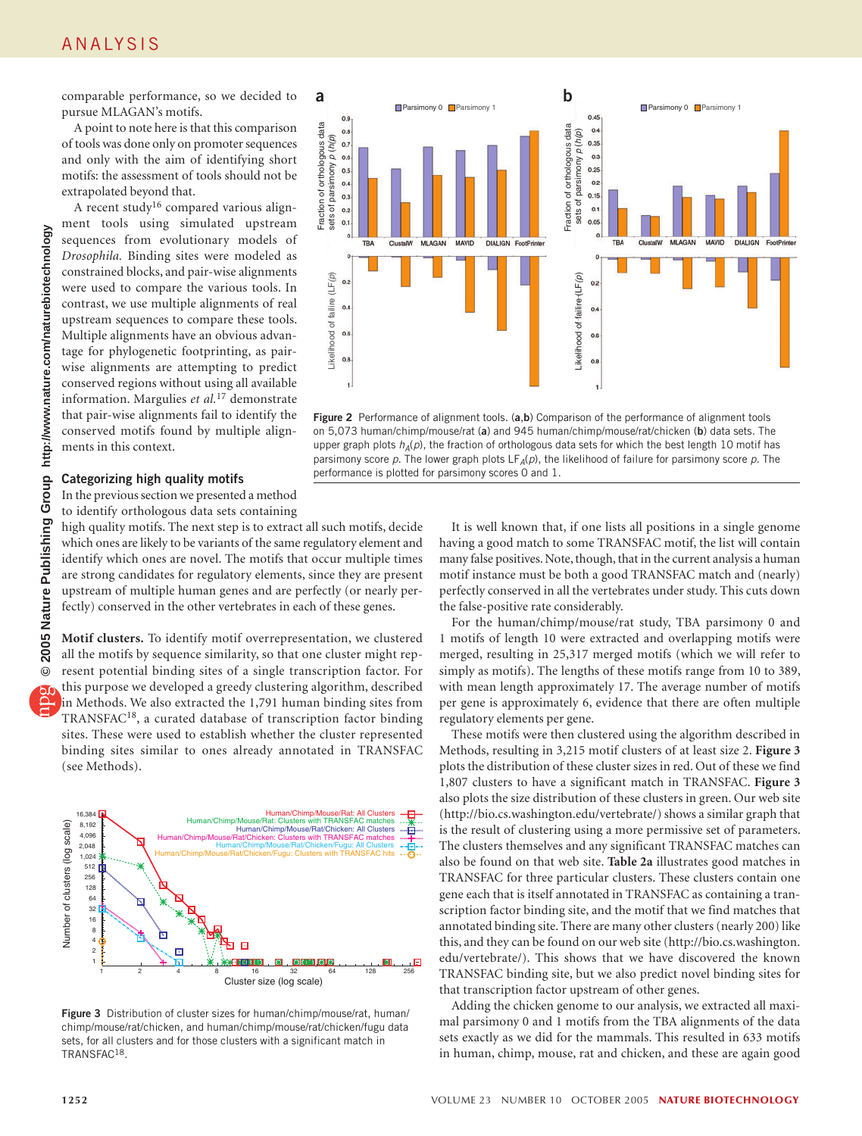## **ANALYSIS**

comparable performance, so we decided to pursue MLAGAN's motifs.

A point to note here is that this comparison of tools was done only on promoter sequences and only with the aim of identifying short motifs: the assessment of tools should not be extrapolated beyond that.

A recent study<sup>16</sup> compared various alignment tools using simulated upstream sequences from evolutionary models of *Drosophila.* Binding sites were modeled as constrained blocks, and pair-wise alignments were used to compare the various tools. In contrast, we use multiple alignments of real upstream sequences to compare these tools. Multiple alignments have an obvious advantage for phylogenetic footprinting, as pairwise alignments are attempting to predict conserved regions without using all available information. Margulies *et al.*17 demonstrate that pair-wise alignments fail to identify the conserved motifs found by multiple alignments in this context.



**Figure 2** Performance of alignment tools. (**a**,**b**) Comparison of the performance of alignment tools on 5,073 human/chimp/mouse/rat (**a**) and 945 human/chimp/mouse/rat/chicken (**b**) data sets. The upper graph plots  $h_A(p)$ , the fraction of orthologous data sets for which the best length 10 motif has parsimony score *p*. The lower graph plots LF*A*(*p*), the likelihood of failure for parsimony score *p*. The performance is plotted for parsimony scores 0 and 1.

#### **Categorizing high quality motifs**

In the previous section we presented a method to identify orthologous data sets containing

high quality motifs. The next step is to extract all such motifs, decide which ones are likely to be variants of the same regulatory element and identify which ones are novel. The motifs that occur multiple times are strong candidates for regulatory elements, since they are present upstream of multiple human genes and are perfectly (or nearly perfectly) conserved in the other vertebrates in each of these genes.

**Motif clusters.** To identify motif overrepresentation, we clustered all the motifs by sequence similarity, so that one cluster might represent potential binding sites of a single transcription factor. For this purpose we developed a greedy clustering algorithm, described in Methods. We also extracted the 1,791 human binding sites from TRANSFAC<sup>18</sup>, a curated database of transcription factor binding sites. These were used to establish whether the cluster represented binding sites similar to ones already annotated in TRANSFAC (see Methods).



**Figure 3** Distribution of cluster sizes for human/chimp/mouse/rat, human/ chimp/mouse/rat/chicken, and human/chimp/mouse/rat/chicken/fugu data sets, for all clusters and for those clusters with a significant match in TRANSFAC18.

It is well known that, if one lists all positions in a single genome having a good match to some TRANSFAC motif, the list will contain many false positives. Note, though, that in the current analysis a human motif instance must be both a good TRANSFAC match and (nearly) perfectly conserved in all the vertebrates under study. This cuts down the false-positive rate considerably.

For the human/chimp/mouse/rat study, TBA parsimony 0 and 1 motifs of length 10 were extracted and overlapping motifs were merged, resulting in 25,317 merged motifs (which we will refer to simply as motifs). The lengths of these motifs range from 10 to 389, with mean length approximately 17. The average number of motifs per gene is approximately 6, evidence that there are often multiple regulatory elements per gene.

These motifs were then clustered using the algorithm described in Methods, resulting in 3,215 motif clusters of at least size 2. **Figure 3** plots the distribution of these cluster sizes in red. Out of these we find 1,807 clusters to have a significant match in TRANSFAC. **Figure 3** also plots the size distribution of these clusters in green. Our web site (http://bio.cs.washington.edu/vertebrate/) shows a similar graph that is the result of clustering using a more permissive set of parameters. The clusters themselves and any significant TRANSFAC matches can also be found on that web site. **Table 2a** illustrates good matches in TRANSFAC for three particular clusters. These clusters contain one gene each that is itself annotated in TRANSFAC as containing a transcription factor binding site, and the motif that we find matches that annotated binding site. There are many other clusters (nearly 200) like this, and they can be found on our web site (http://bio.cs.washington. edu/vertebrate/). This shows that we have discovered the known TRANSFAC binding site, but we also predict novel binding sites for that transcription factor upstream of other genes.

Adding the chicken genome to our analysis, we extracted all maximal parsimony 0 and 1 motifs from the TBA alignments of the data sets exactly as we did for the mammals. This resulted in 633 motifs in human, chimp, mouse, rat and chicken, and these are again good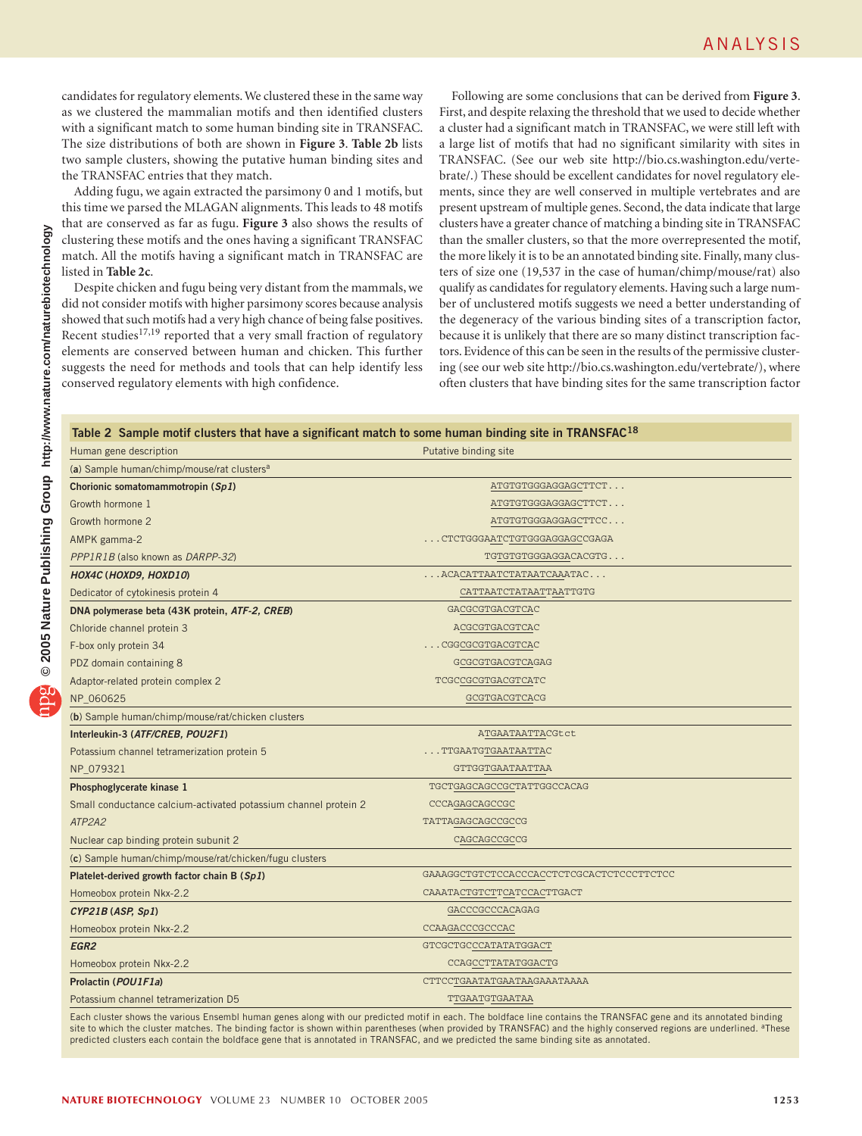candidates for regulatory elements. We clustered these in the same way as we clustered the mammalian motifs and then identified clusters with a significant match to some human binding site in TRANSFAC. The size distributions of both are shown in **Figure 3**. **Table 2b** lists two sample clusters, showing the putative human binding sites and the TRANSFAC entries that they match.

Adding fugu, we again extracted the parsimony 0 and 1 motifs, but this time we parsed the MLAGAN alignments. This leads to 48 motifs that are conserved as far as fugu. **Figure 3** also shows the results of clustering these motifs and the ones having a significant TRANSFAC match. All the motifs having a significant match in TRANSFAC are listed in **Table 2c**.

Despite chicken and fugu being very distant from the mammals, we did not consider motifs with higher parsimony scores because analysis showed that such motifs had a very high chance of being false positives. Recent studies $17,19$  reported that a very small fraction of regulatory elements are conserved between human and chicken. This further suggests the need for methods and tools that can help identify less conserved regulatory elements with high confidence.

Following are some conclusions that can be derived from **Figure 3**. First, and despite relaxing the threshold that we used to decide whether a cluster had a significant match in TRANSFAC, we were still left with a large list of motifs that had no significant similarity with sites in TRANSFAC. (See our web site http://bio.cs.washington.edu/vertebrate/.) These should be excellent candidates for novel regulatory elements, since they are well conserved in multiple vertebrates and are present upstream of multiple genes. Second, the data indicate that large clusters have a greater chance of matching a binding site in TRANSFAC than the smaller clusters, so that the more overrepresented the motif, the more likely it is to be an annotated binding site. Finally, many clusters of size one (19,537 in the case of human/chimp/mouse/rat) also qualify as candidates for regulatory elements. Having such a large number of unclustered motifs suggests we need a better understanding of the degeneracy of the various binding sites of a transcription factor, because it is unlikely that there are so many distinct transcription factors. Evidence of this can be seen in the results of the permissive clustering (see our web site http://bio.cs.washington.edu/vertebrate/), where often clusters that have binding sites for the same transcription factor

**Table 2 Sample motif clusters that have a significant match to some human binding site in TRANSFAC<sup>18</sup>**

| Human gene description                                          | Putative binding site                     |
|-----------------------------------------------------------------|-------------------------------------------|
| (a) Sample human/chimp/mouse/rat clusters <sup>a</sup>          |                                           |
| Chorionic somatomammotropin (Sp1)                               | ATGTGTGGGAGGAGCTTCT                       |
| Growth hormone 1                                                | ATGTGTGGGAGGAGCTTCT                       |
| Growth hormone 2                                                | ATGTGTGGGAGGAGCTTCC                       |
| AMPK gamma-2                                                    | CTCTGGGAATCTGTGGGAGGAGCCGAGA              |
| PPP1R1B (also known as DARPP-32)                                | TGTGTGTGGGAGGACACGTG                      |
| HOX4C (HOXD9, HOXD10)                                           | ACACATTAATCTATAATCAAATAC                  |
| Dedicator of cytokinesis protein 4                              | CATTAATCTATAATTAATTGTG                    |
| DNA polymerase beta (43K protein, ATF-2, CREB)                  | GACGCGTGACGTCAC                           |
| Chloride channel protein 3                                      | ACGCGTGACGTCAC                            |
| F-box only protein 34                                           | CGGCGCGTGACGTCAC                          |
| PDZ domain containing 8                                         | GCGCGTGACGTCAGAG                          |
| Adaptor-related protein complex 2                               | TCGCCGCGTGACGTCATC                        |
| NP_060625                                                       | GCGTGACGTCACG                             |
| (b) Sample human/chimp/mouse/rat/chicken clusters               |                                           |
| Interleukin-3 (ATF/CREB, POU2F1)                                | ATGAATAATTACGtct                          |
| Potassium channel tetramerization protein 5                     | TTGAATGTGAATAATTAC                        |
| NP_079321                                                       | <b>GTTGGTGAATAATTAA</b>                   |
| Phosphoglycerate kinase 1                                       | TGCTGAGCAGCCGCTATTGGCCACAG                |
| Small conductance calcium-activated potassium channel protein 2 | CCCAGAGCAGCCGC                            |
| ATP <sub>2A2</sub>                                              | TATTAGAGCAGCCGCCG                         |
| Nuclear cap binding protein subunit 2                           | CAGCAGCCGCCG                              |
| (c) Sample human/chimp/mouse/rat/chicken/fugu clusters          |                                           |
| Platelet-derived growth factor chain B (Sp1)                    | GAAAGGCTGTCTCCACCCACCTCTCGCACTCTCCCTTCTCC |
| Homeobox protein Nkx-2.2                                        | CAAATACTGTCTTCATCCACTTGACT                |
| CYP21B (ASP, Sp1)                                               | GACCCGCCCACAGAG                           |
| Homeobox protein Nkx-2.2                                        | CCAAGACCCGCCCAC                           |
| EGR <sub>2</sub>                                                | GTCGCTGCCCATATATGGACT                     |
| Homeobox protein Nkx-2.2                                        | CCAGCCTTATATGGACTG                        |
| Prolactin (POU1F1a)                                             | CTTCCTGAATATGAATAAGAAATAAAA               |
| Potassium channel tetramerization D5                            | TTGAATGTGAATAA                            |

Each cluster shows the various Ensembl human genes along with our predicted motif in each. The boldface line contains the TRANSFAC gene and its annotated binding site to which the cluster matches. The binding factor is shown within parentheses (when provided by TRANSFAC) and the highly conserved regions are underlined. <sup>a</sup>These predicted clusters each contain the boldface gene that is annotated in TRANSFAC, and we predicted the same binding site as annotated.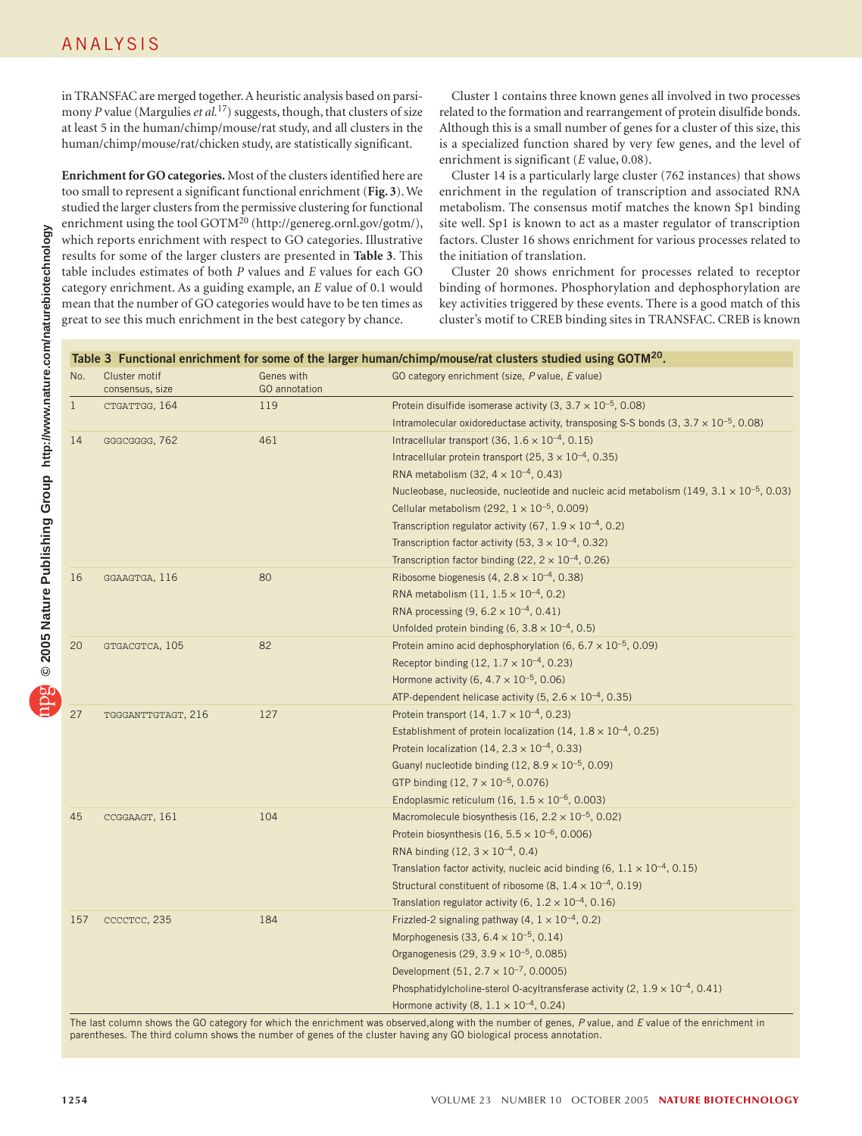in TRANSFAC are merged together. A heuristic analysis based on parsimony *P* value (Margulies *et al.*17) suggests, though, that clusters of size at least 5 in the human/chimp/mouse/rat study, and all clusters in the human/chimp/mouse/rat/chicken study, are statistically significant.

**Enrichment for GO categories.** Most of the clusters identified here are too small to represent a significant functional enrichment (**Fig. 3**). We studied the larger clusters from the permissive clustering for functional enrichment using the tool GOTM<sup>20</sup> (http://genereg.ornl.gov/gotm/), which reports enrichment with respect to GO categories. Illustrative results for some of the larger clusters are presented in **Table 3**. This table includes estimates of both *P* values and *E* values for each GO category enrichment. As a guiding example, an *E* value of 0.1 would mean that the number of GO categories would have to be ten times as great to see this much enrichment in the best category by chance.

Cluster 1 contains three known genes all involved in two processes related to the formation and rearrangement of protein disulfide bonds. Although this is a small number of genes for a cluster of this size, this is a specialized function shared by very few genes, and the level of enrichment is significant (*E* value, 0.08).

Cluster 14 is a particularly large cluster (762 instances) that shows enrichment in the regulation of transcription and associated RNA metabolism. The consensus motif matches the known Sp1 binding site well. Sp1 is known to act as a master regulator of transcription factors. Cluster 16 shows enrichment for various processes related to the initiation of translation.

Cluster 20 shows enrichment for processes related to receptor binding of hormones. Phosphorylation and dephosphorylation are key activities triggered by these events. There is a good match of this cluster's motif to CREB binding sites in TRANSFAC. CREB is known

| Table 3 Functional enrichment for some of the larger human/chimp/mouse/rat clusters studied using GOTM <sup>20</sup> . |  |
|------------------------------------------------------------------------------------------------------------------------|--|
|------------------------------------------------------------------------------------------------------------------------|--|

| No.          | Cluster motif<br>consensus, size | Genes with<br>GO annotation | GO category enrichment (size, P value, E value)                                                                                                       |
|--------------|----------------------------------|-----------------------------|-------------------------------------------------------------------------------------------------------------------------------------------------------|
| $\mathbf{1}$ | CTGATTGG, 164                    | 119                         | Protein disulfide isomerase activity (3, $3.7 \times 10^{-5}$ , 0.08)                                                                                 |
|              |                                  |                             | Intramolecular oxidoreductase activity, transposing S-S bonds (3, $3.7 \times 10^{-5}$ , 0.08)                                                        |
| 14           | GGGCGGGG, 762                    | 461                         | Intracellular transport (36, $1.6 \times 10^{-4}$ , 0.15)                                                                                             |
|              |                                  |                             | Intracellular protein transport (25, $3 \times 10^{-4}$ , 0.35)                                                                                       |
|              |                                  |                             | RNA metabolism (32, $4 \times 10^{-4}$ , 0.43)                                                                                                        |
|              |                                  |                             | Nucleobase, nucleoside, nucleotide and nucleic acid metabolism (149, $3.1 \times 10^{-5}$ , 0.03)                                                     |
|              |                                  |                             | Cellular metabolism (292, $1 \times 10^{-5}$ , 0.009)                                                                                                 |
|              |                                  |                             | Transcription regulator activity (67, $1.9 \times 10^{-4}$ , 0.2)                                                                                     |
|              |                                  |                             | Transcription factor activity (53, $3 \times 10^{-4}$ , 0.32)                                                                                         |
|              |                                  |                             | Transcription factor binding (22, $2 \times 10^{-4}$ , 0.26)                                                                                          |
| 16           | GGAAGTGA, 116                    | 80                          | Ribosome biogenesis (4, $2.8 \times 10^{-4}$ , 0.38)                                                                                                  |
|              |                                  |                             | RNA metabolism (11, $1.5 \times 10^{-4}$ , 0.2)                                                                                                       |
|              |                                  |                             | RNA processing $(9, 6.2 \times 10^{-4}, 0.41)$                                                                                                        |
|              |                                  |                             | Unfolded protein binding (6, $3.8 \times 10^{-4}$ , 0.5)                                                                                              |
| 20           | GTGACGTCA, 105                   | 82                          | Protein amino acid dephosphorylation (6, 6.7 $\times$ 10 <sup>-5</sup> , 0.09)                                                                        |
|              |                                  |                             | Receptor binding (12, $1.7 \times 10^{-4}$ , 0.23)                                                                                                    |
|              |                                  |                             | Hormone activity (6, $4.7 \times 10^{-5}$ , 0.06)                                                                                                     |
|              |                                  |                             | ATP-dependent helicase activity (5, $2.6 \times 10^{-4}$ , 0.35)                                                                                      |
| 27           | TGGGANTTGTAGT, 216               | 127                         | Protein transport (14, $1.7 \times 10^{-4}$ , 0.23)                                                                                                   |
|              |                                  |                             | Establishment of protein localization (14, $1.8 \times 10^{-4}$ , 0.25)                                                                               |
|              |                                  |                             | Protein localization (14, $2.3 \times 10^{-4}$ , 0.33)                                                                                                |
|              |                                  |                             | Guanyl nucleotide binding $(12, 8.9 \times 10^{-5}, 0.09)$                                                                                            |
|              |                                  |                             | GTP binding (12, $7 \times 10^{-5}$ , 0.076)                                                                                                          |
|              |                                  |                             | Endoplasmic reticulum (16, $1.5 \times 10^{-6}$ , 0.003)                                                                                              |
| 45           | CCGGAAGT, 161                    | 104                         | Macromolecule biosynthesis (16, $2.2 \times 10^{-5}$ , 0.02)                                                                                          |
|              |                                  |                             | Protein biosynthesis (16, $5.5 \times 10^{-6}$ , 0.006)                                                                                               |
|              |                                  |                             | RNA binding $(12, 3 \times 10^{-4}, 0.4)$                                                                                                             |
|              |                                  |                             | Translation factor activity, nucleic acid binding (6, $1.1 \times 10^{-4}$ , 0.15)                                                                    |
|              |                                  |                             | Structural constituent of ribosome (8, $1.4 \times 10^{-4}$ , 0.19)                                                                                   |
|              |                                  |                             | Translation regulator activity (6, $1.2 \times 10^{-4}$ , 0.16)                                                                                       |
| 157          | CCCCTCC, 235                     | 184                         | Frizzled-2 signaling pathway (4, $1 \times 10^{-4}$ , 0.2)                                                                                            |
|              |                                  |                             | Morphogenesis (33, $6.4 \times 10^{-5}$ , 0.14)                                                                                                       |
|              |                                  |                             | Organogenesis (29, $3.9 \times 10^{-5}$ , 0.085)                                                                                                      |
|              |                                  |                             | Development (51, $2.7 \times 10^{-7}$ , 0.0005)                                                                                                       |
|              |                                  |                             | Phosphatidylcholine-sterol O-acyltransferase activity (2, $1.9 \times 10^{-4}$ , 0.41)                                                                |
|              |                                  |                             | Hormone activity (8, $1.1 \times 10^{-4}$ , 0.24)                                                                                                     |
|              |                                  |                             | The last column shows the CO sategary for which the environment was observed along with the number of genes. Pyslue, and Evalue of the environment in |

The last column shows the GO category for which the enrichment was observed,along with the number of genes, *P* value, and *E* value of the enrichment in parentheses. The third column shows the number of genes of the cluster having any GO biological process annotation.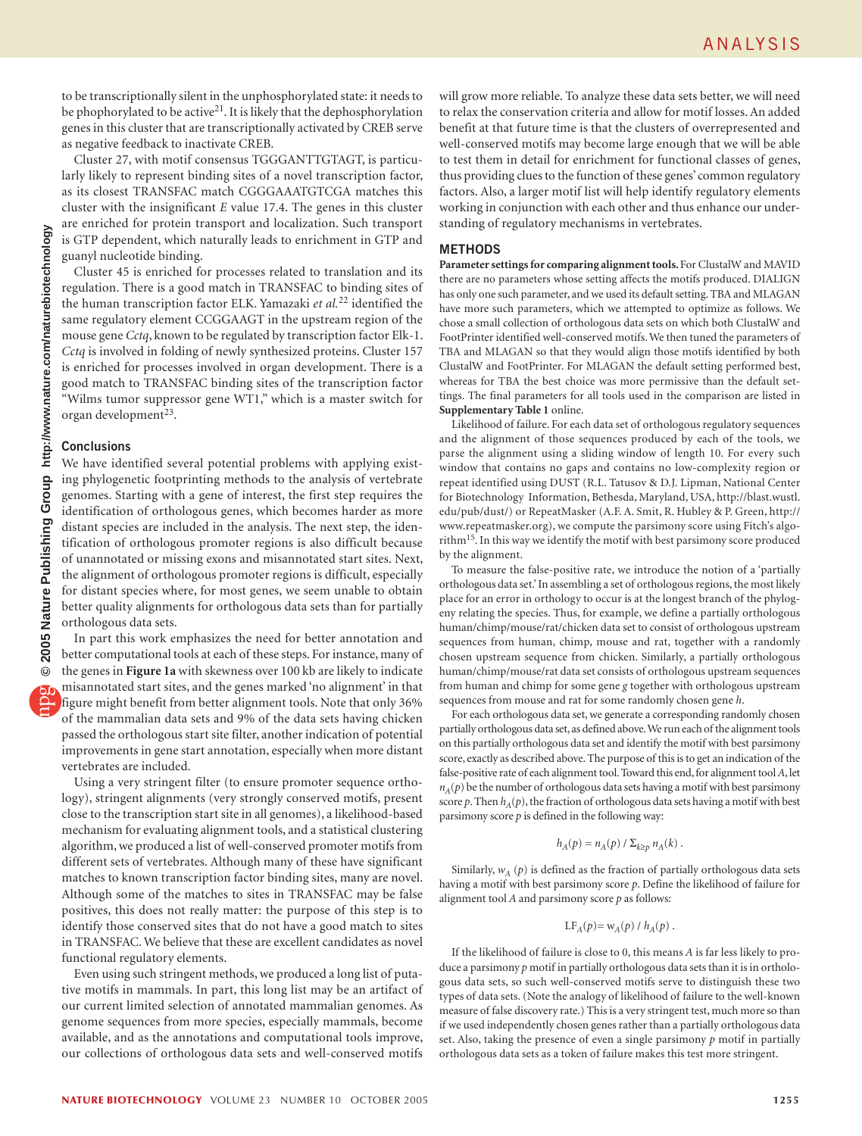to be transcriptionally silent in the unphosphorylated state: it needs to be phophorylated to be active<sup>21</sup>. It is likely that the dephosphorylation genes in this cluster that are transcriptionally activated by CREB serve as negative feedback to inactivate CREB.

Cluster 27, with motif consensus TGGGANTTGTAGT, is particularly likely to represent binding sites of a novel transcription factor, as its closest TRANSFAC match CGGGAAATGTCGA matches this cluster with the insignificant *E* value 17.4. The genes in this cluster are enriched for protein transport and localization. Such transport is GTP dependent, which naturally leads to enrichment in GTP and guanyl nucleotide binding.

Cluster 45 is enriched for processes related to translation and its regulation. There is a good match in TRANSFAC to binding sites of the human transcription factor ELK. Yamazaki *et al.*22 identified the same regulatory element CCGGAAGT in the upstream region of the mouse gene *Cctq*, known to be regulated by transcription factor Elk-1. *Cctq* is involved in folding of newly synthesized proteins. Cluster 157 is enriched for processes involved in organ development. There is a good match to TRANSFAC binding sites of the transcription factor "Wilms tumor suppressor gene WT1," which is a master switch for organ development<sup>23</sup>.

#### **Conclusions**

We have identified several potential problems with applying existing phylogenetic footprinting methods to the analysis of vertebrate genomes. Starting with a gene of interest, the first step requires the identification of orthologous genes, which becomes harder as more distant species are included in the analysis. The next step, the identification of orthologous promoter regions is also difficult because of unannotated or missing exons and misannotated start sites. Next, the alignment of orthologous promoter regions is difficult, especially for distant species where, for most genes, we seem unable to obtain better quality alignments for orthologous data sets than for partially orthologous data sets.

In part this work emphasizes the need for better annotation and better computational tools at each of these steps. For instance, many of the genes in **Figure 1a** with skewness over 100 kb are likely to indicate misannotated start sites, and the genes marked 'no alignment' in that figure might benefit from better alignment tools. Note that only 36% of the mammalian data sets and 9% of the data sets having chicken passed the orthologous start site filter, another indication of potential improvements in gene start annotation, especially when more distant vertebrates are included.

Using a very stringent filter (to ensure promoter sequence orthology), stringent alignments (very strongly conserved motifs, present close to the transcription start site in all genomes), a likelihood-based mechanism for evaluating alignment tools, and a statistical clustering algorithm, we produced a list of well-conserved promoter motifs from different sets of vertebrates. Although many of these have significant matches to known transcription factor binding sites, many are novel. Although some of the matches to sites in TRANSFAC may be false positives, this does not really matter: the purpose of this step is to identify those conserved sites that do not have a good match to sites in TRANSFAC. We believe that these are excellent candidates as novel functional regulatory elements.

Even using such stringent methods, we produced a long list of putative motifs in mammals. In part, this long list may be an artifact of our current limited selection of annotated mammalian genomes. As genome sequences from more species, especially mammals, become available, and as the annotations and computational tools improve, our collections of orthologous data sets and well-conserved motifs

will grow more reliable. To analyze these data sets better, we will need to relax the conservation criteria and allow for motif losses. An added benefit at that future time is that the clusters of overrepresented and well-conserved motifs may become large enough that we will be able to test them in detail for enrichment for functional classes of genes, thus providing clues to the function of these genes' common regulatory factors. Also, a larger motif list will help identify regulatory elements working in conjunction with each other and thus enhance our understanding of regulatory mechanisms in vertebrates.

#### **METHODS**

**Parameter settings for comparing alignment tools.** For ClustalW and MAVID there are no parameters whose setting affects the motifs produced. DIALIGN has only one such parameter, and we used its default setting. TBA and MLAGAN have more such parameters, which we attempted to optimize as follows. We chose a small collection of orthologous data sets on which both ClustalW and FootPrinter identified well-conserved motifs. We then tuned the parameters of TBA and MLAGAN so that they would align those motifs identified by both ClustalW and FootPrinter. For MLAGAN the default setting performed best, whereas for TBA the best choice was more permissive than the default settings. The final parameters for all tools used in the comparison are listed in **Supplementary Table 1** online.

Likelihood of failure. For each data set of orthologous regulatory sequences and the alignment of those sequences produced by each of the tools, we parse the alignment using a sliding window of length 10. For every such window that contains no gaps and contains no low-complexity region or repeat identified using DUST (R.L. Tatusov & D.J. Lipman, National Center for Biotechnology Information, Bethesda, Maryland, USA, http://blast.wustl. edu/pub/dust/) or RepeatMasker (A.F. A. Smit, R. Hubley & P. Green, http:// www.repeatmasker.org), we compute the parsimony score using Fitch's algorithm<sup>15</sup>. In this way we identify the motif with best parsimony score produced by the alignment.

To measure the false-positive rate, we introduce the notion of a 'partially orthologous data set.' In assembling a set of orthologous regions, the most likely place for an error in orthology to occur is at the longest branch of the phylogeny relating the species. Thus, for example, we define a partially orthologous human/chimp/mouse/rat/chicken data set to consist of orthologous upstream sequences from human, chimp, mouse and rat, together with a randomly chosen upstream sequence from chicken. Similarly, a partially orthologous human/chimp/mouse/rat data set consists of orthologous upstream sequences from human and chimp for some gene *g* together with orthologous upstream sequences from mouse and rat for some randomly chosen gene *h*.

For each orthologous data set, we generate a corresponding randomly chosen partially orthologous data set, as defined above. We run each of the alignment tools on this partially orthologous data set and identify the motif with best parsimony score, exactly as described above. The purpose of this is to get an indication of the false-positive rate of each alignment tool. Toward this end, for alignment tool *A*, let  $n_A(p)$  be the number of orthologous data sets having a motif with best parsimony score  $p$ . Then  $h_A(p)$ , the fraction of orthologous data sets having a motif with best parsimony score *p* is defined in the following way:

$$
h_A(p) = n_A(p) / \sum_{k \ge p} n_A(k) .
$$

Similarly,  $w_A$  ( $p$ ) is defined as the fraction of partially orthologous data sets having a motif with best parsimony score *p*. Define the likelihood of failure for alignment tool *A* and parsimony score *p* as follows:

$$
LF_A(p) = w_A(p) / h_A(p).
$$

If the likelihood of failure is close to 0, this means *A* is far less likely to produce a parsimony *p* motif in partially orthologous data sets than it is in orthologous data sets, so such well-conserved motifs serve to distinguish these two types of data sets. (Note the analogy of likelihood of failure to the well-known measure of false discovery rate.) This is a very stringent test, much more so than if we used independently chosen genes rather than a partially orthologous data set. Also, taking the presence of even a single parsimony *p* motif in partially orthologous data sets as a token of failure makes this test more stringent.